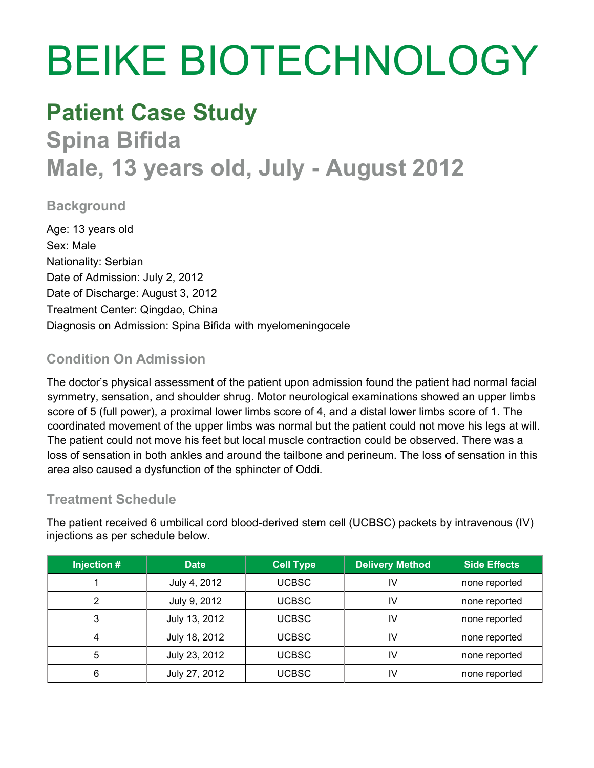# BEIKE BIOTECHNOLOGY

# **Patient Case Study Spina Bifida Male, 13 years old, July - August 2012**

### **Background**

Age: 13 years old Sex: Male Nationality: Serbian Date of Admission: July 2, 2012 Date of Discharge: August 3, 2012 Treatment Center: Qingdao, China Diagnosis on Admission: Spina Bifida with myelomeningocele

# **Condition On Admission**

The doctor's physical assessment of the patient upon admission found the patient had normal facial symmetry, sensation, and shoulder shrug. Motor neurological examinations showed an upper limbs score of 5 (full power), a proximal lower limbs score of 4, and a distal lower limbs score of 1. The coordinated movement of the upper limbs was normal but the patient could not move his legs at will. The patient could not move his feet but local muscle contraction could be observed. There was a loss of sensation in both ankles and around the tailbone and perineum. The loss of sensation in this area also caused a dysfunction of the sphincter of Oddi.

# **Treatment Schedule**

The patient received 6 umbilical cord blood-derived stem cell (UCBSC) packets by intravenous (IV) injections as per schedule below.

| Injection # | <b>Date</b>   | <b>Cell Type</b> | <b>Delivery Method</b> | <b>Side Effects</b> |
|-------------|---------------|------------------|------------------------|---------------------|
|             | July 4, 2012  | <b>UCBSC</b>     | ıν                     | none reported       |
|             | July 9, 2012  | <b>UCBSC</b>     | I٧                     | none reported       |
| 3           | July 13, 2012 | <b>UCBSC</b>     | IV                     | none reported       |
|             | July 18, 2012 | <b>UCBSC</b>     | I٧                     | none reported       |
| 5           | July 23, 2012 | <b>UCBSC</b>     | ΙV                     | none reported       |
| 6           | July 27, 2012 | <b>UCBSC</b>     | I٧                     | none reported       |